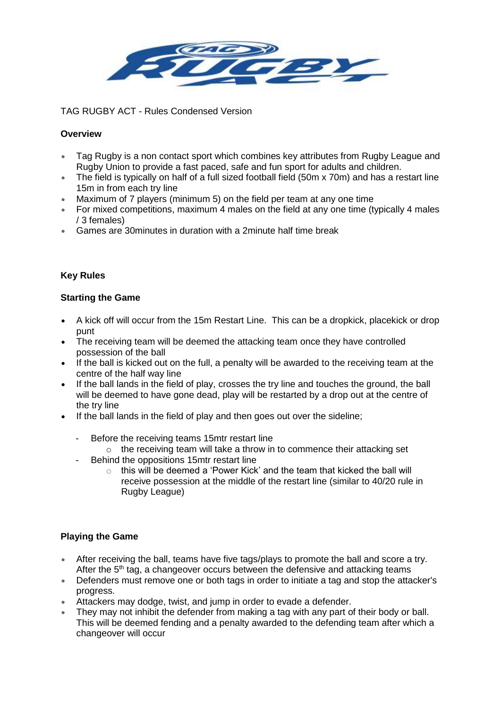

TAG RUGBY ACT - Rules Condensed Version

## **Overview**

- Tag Rugby is a non contact sport which combines key attributes from Rugby League and Rugby Union to provide a fast paced, safe and fun sport for adults and children.
- The field is typically on half of a full sized football field (50m x 70m) and has a restart line 15m in from each try line
- Maximum of 7 players (minimum 5) on the field per team at any one time
- For mixed competitions, maximum 4 males on the field at any one time (typically 4 males / 3 females)
- Games are 30minutes in duration with a 2minute half time break

# **Key Rules**

## **Starting the Game**

- A kick off will occur from the 15m Restart Line. This can be a dropkick, placekick or drop punt
- The receiving team will be deemed the attacking team once they have controlled possession of the ball
- If the ball is kicked out on the full, a penalty will be awarded to the receiving team at the centre of the half way line
- If the ball lands in the field of play, crosses the try line and touches the ground, the ball will be deemed to have gone dead, play will be restarted by a drop out at the centre of the try line
- If the ball lands in the field of play and then goes out over the sideline;
	- Before the receiving teams 15mtr restart line
		- $\circ$  the receiving team will take a throw in to commence their attacking set
	- Behind the oppositions 15mtr restart line
		- $\circ$  this will be deemed a 'Power Kick' and the team that kicked the ball will receive possession at the middle of the restart line (similar to 40/20 rule in Rugby League)

### **Playing the Game**

- After receiving the ball, teams have five tags/plays to promote the ball and score a try. After the  $5<sup>th</sup>$  tag, a changeover occurs between the defensive and attacking teams
- Defenders must remove one or both tags in order to initiate a tag and stop the attacker's progress.
- Attackers may dodge, twist, and jump in order to evade a defender.
- They may not inhibit the defender from making a tag with any part of their body or ball. This will be deemed fending and a penalty awarded to the defending team after which a changeover will occur